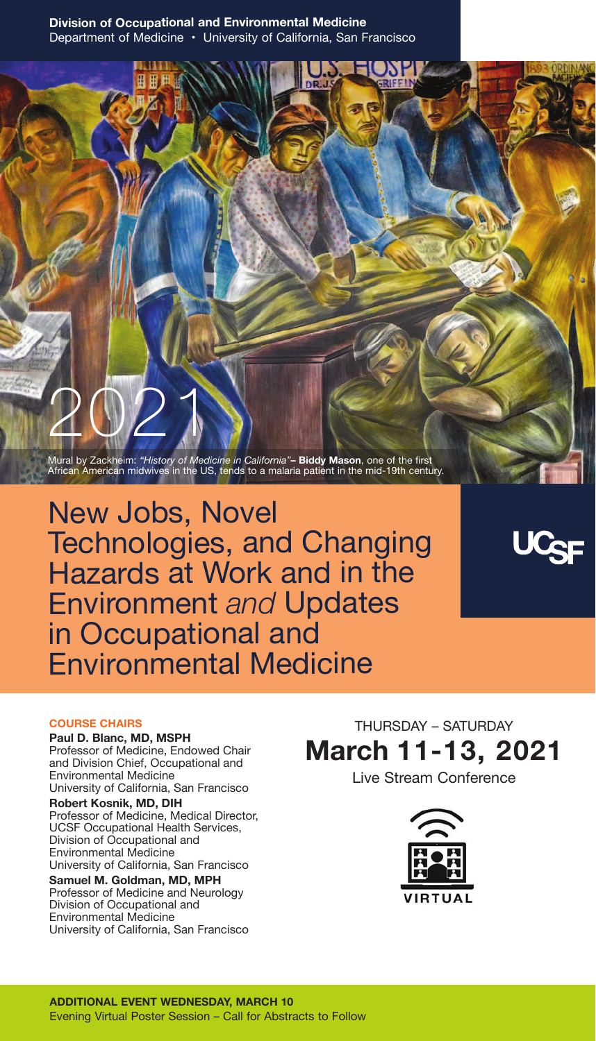Mural by Zackheim: *"History of Medicine in California"***– Biddy Mason**, one of the first African American midwives in the US, tends to a malaria patient in the mid-19th century.

New Jobs, Novel Technologies, and Changing Hazards at Work and in the Environment *and* Updates in Occupational and Environmental Medicine

#### **COURSE CHAIRS**

**Paul D. Blanc, MD, MSPH** Professor of Medicine, Endowed Chair and Division Chief, Occupational and Environmental Medicine University of California, San Francisco

2021

**Robert Kosnik, MD, DIH** Professor of Medicine, Medical Director, UCSF Occupational Health Services, Division of Occupational and Environmental Medicine University of California, San Francisco **Samuel M. Goldman, MD, MPH**

Professor of Medicine and Neurology Division of Occupational and Environmental Medicine University of California, San Francisco

THURSDAY – SATURDAY **March 11-13, 2021** 

Live Stream Conference

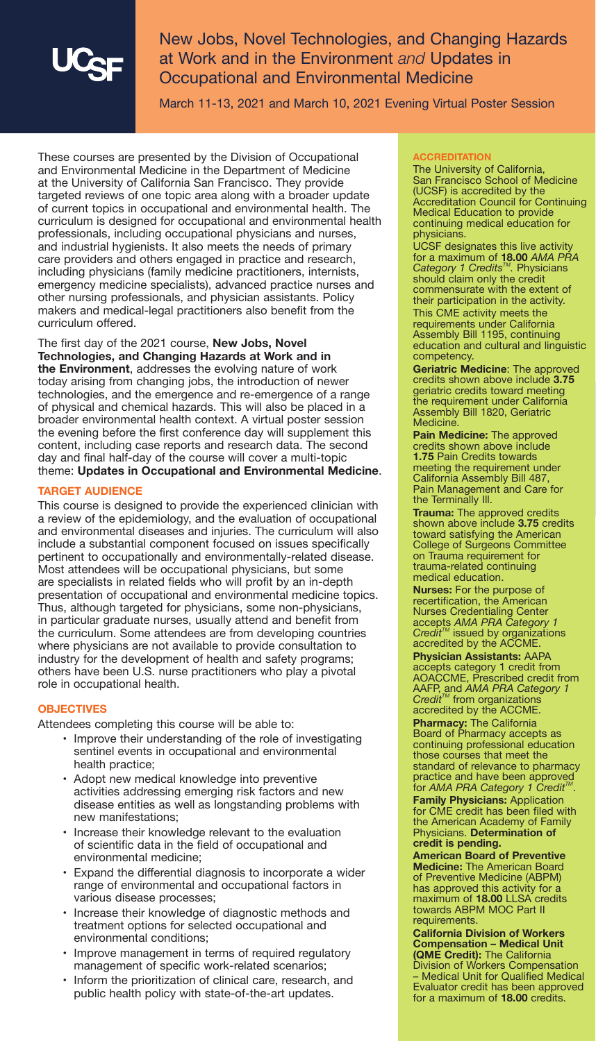New Jobs, Novel Technologies, and Changing Hazards at Work and in the Environment *and* Updates in Occupational and Environmental Medicine

March 11-13, 2021 and March 10, 2021 Evening Virtual Poster Session

These courses are presented by the Division of Occupational and Environmental Medicine in the Department of Medicine at the University of California San Francisco. They provide targeted reviews of one topic area along with a broader update of current topics in occupational and environmental health. The curriculum is designed for occupational and environmental health professionals, including occupational physicians and nurses, and industrial hygienists. It also meets the needs of primary care providers and others engaged in practice and research, including physicians (family medicine practitioners, internists, emergency medicine specialists), advanced practice nurses and other nursing professionals, and physician assistants. Policy makers and medical-legal practitioners also benefit from the curriculum offered.

The first day of the 2021 course, **New Jobs, Novel Technologies, and Changing Hazards at Work and in the Environment**, addresses the evolving nature of work today arising from changing jobs, the introduction of newer technologies, and the emergence and re-emergence of a range of physical and chemical hazards. This will also be placed in a broader environmental health context. A virtual poster session the evening before the first conference day will supplement this content, including case reports and research data. The second day and final half-day of the course will cover a multi-topic theme: **Updates in Occupational and Environmental Medicine**.

#### **TARGET AUDIENCE**

This course is designed to provide the experienced clinician with a review of the epidemiology, and the evaluation of occupational and environmental diseases and injuries. The curriculum will also include a substantial component focused on issues specifically pertinent to occupationally and environmentally-related disease. Most attendees will be occupational physicians, but some are specialists in related fields who will profit by an in-depth presentation of occupational and environmental medicine topics. Thus, although targeted for physicians, some non-physicians, in particular graduate nurses, usually attend and benefit from the curriculum. Some attendees are from developing countries where physicians are not available to provide consultation to industry for the development of health and safety programs; others have been U.S. nurse practitioners who play a pivotal role in occupational health.

#### **OBJECTIVES**

Attendees completing this course will be able to:

- Improve their understanding of the role of investigating sentinel events in occupational and environmental health practice;
- Adopt new medical knowledge into preventive activities addressing emerging risk factors and new disease entities as well as longstanding problems with new manifestations;
- Increase their knowledge relevant to the evaluation of scientific data in the field of occupational and environmental medicine;
- Expand the differential diagnosis to incorporate a wider range of environmental and occupational factors in various disease processes;
- Increase their knowledge of diagnostic methods and treatment options for selected occupational and environmental conditions;
- Improve management in terms of required regulatory management of specific work-related scenarios;
- Inform the prioritization of clinical care, research, and public health policy with state-of-the-art updates.

#### **ACCREDITATION**

The University of California, San Francisco School of Medicine (UCSF) is accredited by the Accreditation Council for Continuing Medical Education to provide continuing medical education for **physicians** 

UCSF designates this live activity for a maximum of **18.00** *AMA PRA*<br>*Category 1 Credits™. Physicians* should claim only the credit commensurate with the extent of their participation in the activity. This CME activity meets the requirements under California Assembly Bill 1195, continuing education and cultural and linguistic competency.

**Geriatric Medicine**: The approved credits shown above include **3.75** geriatric credits toward meeting the requirement under California Assembly Bill 1820, Geriatric **Medicine** 

**Pain Medicine:** The approved credits shown above include **1.75** Pain Credits towards meeting the requirement under California Assembly Bill 487, Pain Management and Care for the Terminally Ill.

**Trauma:** The approved credits shown above include **3.75** credits toward satisfying the American College of Surgeons Committee on Trauma requirement for trauma-related continuing medical education.

**Nurses:** For the purpose of recertification, the American Nurses Credentialing Center accepts *AMA PRA Category 1 Credit™* issued by organizations<br>accredited by the ACCME.

**Physician Assistants:** AAPA accepts category 1 credit from AOACCME, Prescribed credit from AAFP, and *AMA PRA Category 1*<br>*Credit™* from organizations accredited by the ACCME.

**Pharmacy:** The California Board of Pharmacy accepts as continuing professional education those courses that meet the standard of relevance to pharmacy practice and have been approved<br>for *AMA PRA Category 1 Credit™*.

**Family Physicians:** Application for CME credit has been filed with the American Academy of Family Physicians. **Determination of credit is pending.**

**American Board of Preventive Medicine:** The American Board of Preventive Medicine (ABPM) has approved this activity for a maximum of **18.00** LLSA credits towards ABPM MOC Part II requirements.

**California Division of Workers Compensation – Medical Unit (QME Credit):** The California Division of Workers Compensation – Medical Unit for Qualified Medical Evaluator credit has been approved for a maximum of **18.00** credits.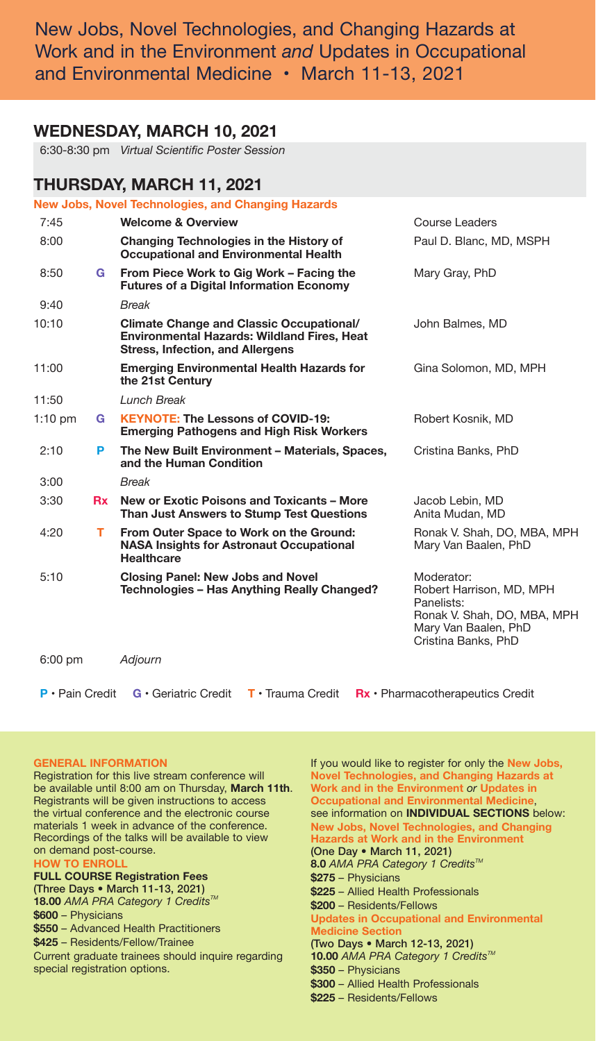New Jobs, Novel Technologies, and Changing Hazards at Work and in the Environment *and* Updates in Occupational and Environmental Medicine • March 11-13, 2021

## **WEDNESDAY, MARCH 10, 2021**

6:30-8:30 pm *Virtual Scientific Poster Session* 

# **THURSDAY, MARCH 11, 2021**

|                   |    | <b>New Jobs, Novel Technologies, and Changing Hazards</b>                                                                                        |                                                                                                                                    |
|-------------------|----|--------------------------------------------------------------------------------------------------------------------------------------------------|------------------------------------------------------------------------------------------------------------------------------------|
| 7:45              |    | <b>Welcome &amp; Overview</b>                                                                                                                    | Course Leaders                                                                                                                     |
| 8:00              |    | Changing Technologies in the History of<br><b>Occupational and Environmental Health</b>                                                          | Paul D. Blanc, MD, MSPH                                                                                                            |
| 8:50              | G. | From Piece Work to Gig Work - Facing the<br><b>Futures of a Digital Information Economy</b>                                                      | Mary Gray, PhD                                                                                                                     |
| 9:40              |    | <b>Break</b>                                                                                                                                     |                                                                                                                                    |
| 10:10             |    | <b>Climate Change and Classic Occupational/</b><br><b>Environmental Hazards: Wildland Fires, Heat</b><br><b>Stress, Infection, and Allergens</b> | John Balmes, MD                                                                                                                    |
| 11:00             |    | <b>Emerging Environmental Health Hazards for</b><br>the 21st Century                                                                             | Gina Solomon, MD, MPH                                                                                                              |
| 11:50             |    | Lunch Break                                                                                                                                      |                                                                                                                                    |
| $1:10$ pm         | G. | <b>KEYNOTE: The Lessons of COVID-19:</b><br><b>Emerging Pathogens and High Risk Workers</b>                                                      | Robert Kosnik, MD                                                                                                                  |
| 2:10              | P  | The New Built Environment - Materials, Spaces,<br>and the Human Condition                                                                        | Cristina Banks, PhD                                                                                                                |
| 3:00              |    | <b>Break</b>                                                                                                                                     |                                                                                                                                    |
| 3:30              | Rx | New or Exotic Poisons and Toxicants - More<br>Than Just Answers to Stump Test Questions                                                          | Jacob Lebin, MD<br>Anita Mudan, MD                                                                                                 |
| 4:20              | т. | From Outer Space to Work on the Ground:<br><b>NASA Insights for Astronaut Occupational</b><br>Healthcare                                         | Ronak V. Shah, DO, MBA, MPH<br>Mary Van Baalen, PhD                                                                                |
| 5:10              |    | <b>Closing Panel: New Jobs and Novel</b><br>Technologies - Has Anything Really Changed?                                                          | Moderator:<br>Robert Harrison, MD, MPH<br>Panelists:<br>Ronak V. Shah, DO, MBA, MPH<br>Mary Van Baalen, PhD<br>Cristina Banks, PhD |
| $6:00 \text{ pm}$ |    | Adjourn                                                                                                                                          |                                                                                                                                    |
|                   |    |                                                                                                                                                  |                                                                                                                                    |

 **P** • Pain Credit **G** • Geriatric Credit **T** • Trauma Credit **Rx** • Pharmacotherapeutics Credit

#### **GENERAL INFORMATION**

Registration for this live stream conference will be available until 8:00 am on Thursday, **March 11th**. Registrants will be given instructions to access the virtual conference and the electronic course materials 1 week in advance of the conference. Recordings of the talks will be available to view on demand post-course.

#### **HOW TO ENROL FULL COURSE Registration Fees (Three Days • March 11-13, 2021) 18.00** AMA PRA Category 1 Credits™

**\$600** – Physicians

**\$550** – Advanced Health Practitioners

**\$425** – Residents/Fellow/Trainee

Current graduate trainees should inquire regarding special registration options.

If you would like to register for only the **New Jobs, Novel Technologies, and Changing Hazards at Work and in the Environment** *or* **Updates in Occupational and Environmental Medicin** see information on **INDIVIDUAL SECTIONS** below: **New Jobs, Novel Technologies, and Changing Hazards at Work and in the Environment (One Day • March 11, 2021) 8.0** *AMA PRA Category* 1 *Credits™* **\$275** – Physicians **\$225** – Allied Health Professionals **\$200** – Residents/Fellows **Updates in Occupational and Environmental Medicine Section (Two Days • March 12-13, 2021) 10.00** AMA PRA Category 1 Credits<sup>™</sup> **\$350** – Physicians **\$300** – Allied Health Professionals **\$225** – Residents/Fellows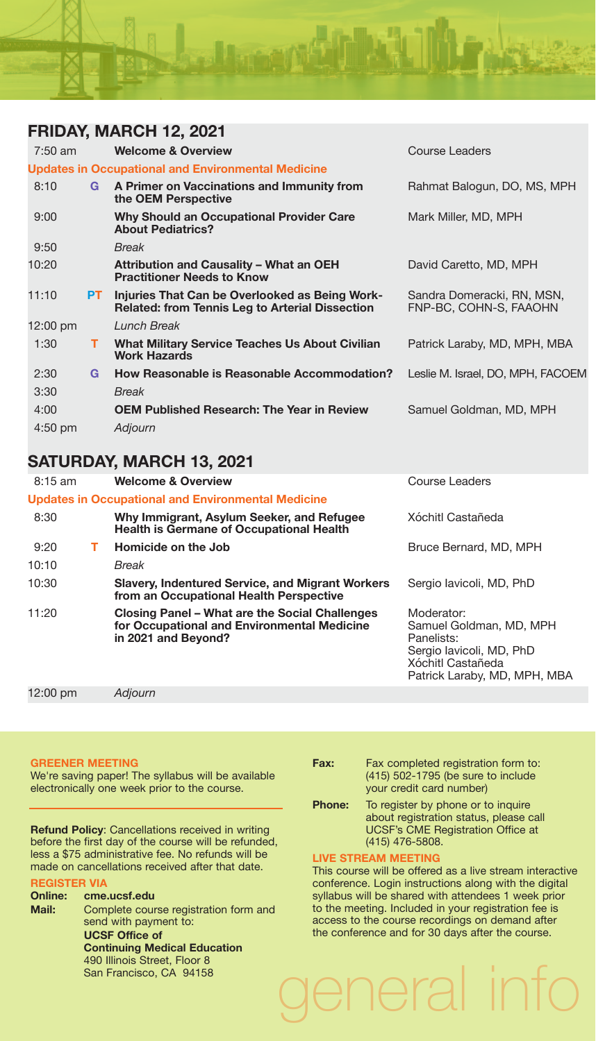

# **FRIDAY, MARCH 12, 2021**

| 7:50 am   |      | <b>Welcome &amp; Overview</b>                                                                            | Course Leaders                                       |
|-----------|------|----------------------------------------------------------------------------------------------------------|------------------------------------------------------|
|           |      | <b>Updates in Occupational and Environmental Medicine</b>                                                |                                                      |
| 8:10      | G    | A Primer on Vaccinations and Immunity from<br>the OEM Perspective                                        | Rahmat Balogun, DO, MS, MPH                          |
| 9:00      |      | Why Should an Occupational Provider Care<br><b>About Pediatrics?</b>                                     | Mark Miller, MD, MPH                                 |
| 9:50      |      | <b>Break</b>                                                                                             |                                                      |
| 10:20     |      | Attribution and Causality - What an OEH<br><b>Practitioner Needs to Know</b>                             | David Caretto, MD, MPH                               |
| 11:10     | PT - | Injuries That Can be Overlooked as Being Work-<br><b>Related: from Tennis Leg to Arterial Dissection</b> | Sandra Domeracki, RN, MSN,<br>FNP-BC, COHN-S, FAAOHN |
| 12:00 pm  |      | Lunch Break                                                                                              |                                                      |
| 1:30      | т    | <b>What Military Service Teaches Us About Civilian</b><br><b>Work Hazards</b>                            | Patrick Laraby, MD, MPH, MBA                         |
| 2:30      | G    | How Reasonable is Reasonable Accommodation?                                                              | Leslie M. Israel, DO, MPH, FACOEM                    |
| 3:30      |      | <b>Break</b>                                                                                             |                                                      |
| 4:00      |      | <b>OEM Published Research: The Year in Review</b>                                                        | Samuel Goldman, MD, MPH                              |
| $4:50$ pm |      | Adjourn                                                                                                  |                                                      |
|           |      |                                                                                                          |                                                      |

# **SATURDAY, MARCH 13, 2021**

| $8:15$ am |    | <b>Welcome &amp; Overview</b>                                                                                        | Course Leaders                                                                                                                       |
|-----------|----|----------------------------------------------------------------------------------------------------------------------|--------------------------------------------------------------------------------------------------------------------------------------|
|           |    | <b>Updates in Occupational and Environmental Medicine</b>                                                            |                                                                                                                                      |
| 8:30      |    | Why Immigrant, Asylum Seeker, and Refugee<br><b>Health is Germane of Occupational Health</b>                         | Xóchitl Castañeda                                                                                                                    |
| 9:20      | т. | Homicide on the Job                                                                                                  | Bruce Bernard, MD, MPH                                                                                                               |
| 10:10     |    | Break                                                                                                                |                                                                                                                                      |
| 10:30     |    | <b>Slavery, Indentured Service, and Migrant Workers</b><br>from an Occupational Health Perspective                   | Sergio Iavicoli, MD, PhD                                                                                                             |
| 11:20     |    | Closing Panel – What are the Social Challenges<br>for Occupational and Environmental Medicine<br>in 2021 and Beyond? | Moderator:<br>Samuel Goldman, MD, MPH<br>Panelists:<br>Sergio lavicoli, MD, PhD<br>Xóchitl Castañeda<br>Patrick Laraby, MD, MPH, MBA |
| 12:00 pm  |    | Adiourn                                                                                                              |                                                                                                                                      |

#### **GREENER MEETING**

We're saving paper! The syllabus will be available electronically one week prior to the course.

**Refund Policy**: Cancellations received in writing before the first day of the course will be refunded, less a \$75 administrative fee. No refunds will be made on cancellations received after that date.

# **REGISTER VIA**

**Online: cme.ucsf.edu Mail:** Complete course registration form and send with payment to: **UCSF Office of Continuing Medical Education** 490 Illinois Street, Floor 8 San Francisco, CA 94158 general info

| Fax:          | Fax completed registration form to:<br>(415) 502-1795 (be sure to include<br>your credit card number)                                       |
|---------------|---------------------------------------------------------------------------------------------------------------------------------------------|
| <b>Phone:</b> | To register by phone or to inquire<br>about registration status, please call<br><b>UCSF's CME Registration Office at</b><br>(415) 476-5808. |

#### **LIVE STREAM MEETING**

This course will be offered as a live stream interactive conference. Login instructions along with the digital syllabus will be shared with attendees 1 week prior to the meeting. Included in your registration fee is access to the course recordings on demand after the conference and for 30 days after the course.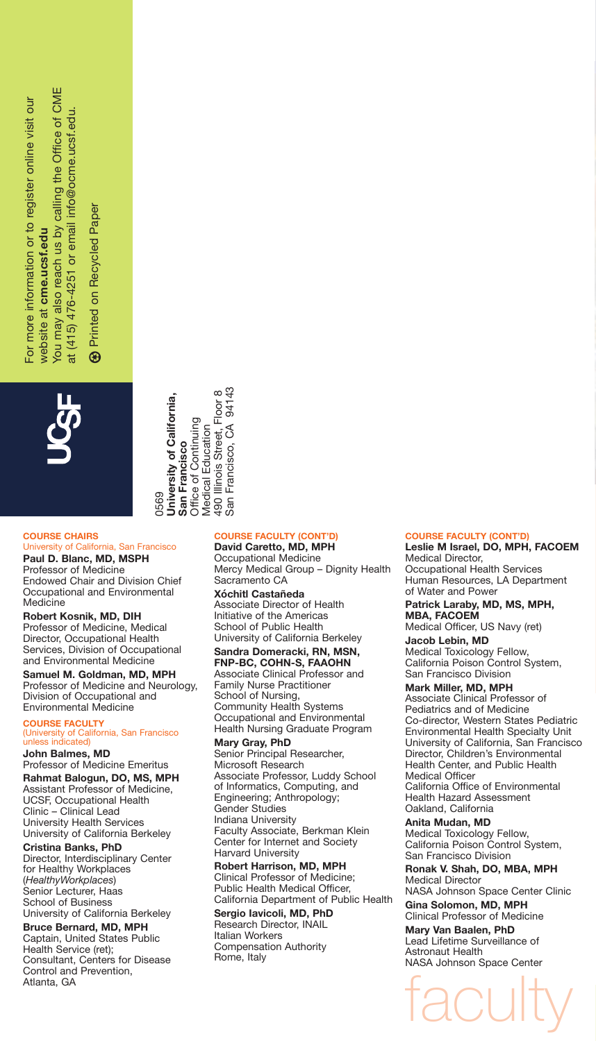for more information or to register online visit our For more information or to register online visit our website at cme.ucsf.edu website at **cme.ucsf.edu**

calling the Office of CME You may also reach us by calling the Office of CME at (415) 476-4251 or email info@ocme.ucsf.edu. at (415) 476-4251 or email info@ocme.ucsf.edu. You may also reach us by

**19 Printed on Recycled Paper** Printed on Recycled Paper  $\circledast$ 

> loor 8<br>94143 San Francisco, CA 94143 490 Illinois Street, Floor 8 **Jniversity of California, University of California,** 90 Illinois Street, Floor Office of Continuing Office of Continuing **Medical Education** Francisco, CA Medical Education San Francisco **San Francisco** San F 0569

# **COURSE CHAIRS**

#### University of California, San Francisco **Paul D. Blanc, MD, MSPH**

Professor of Medicine Endowed Chair and Division Chief Occupational and Environmental Medicine

**Robert Kosnik, MD, DIH**

Professor of Medicine, Medical Director, Occupational Health Services, Division of Occupational and Environmental Medicine

**Samuel M. Goldman, MD, MPH** Professor of Medicine and Neurology, Division of Occupational and Environmental Medicine

#### **COURSE FACULTY** (University of California, San Francisco unless indicated)

#### **John Balmes, MD**

Professor of Medicine Emeritus **Rahmat Balogun, DO, MS, MPH** Assistant Professor of Medicine, UCSF, Occupational Health Clinic – Clinical Lead University Health Services

University of California Berkeley **Cristina Banks, PhD** Director, Interdisciplinary Center for Healthy Workplaces

(*HealthyWorkplaces*) Senior Lecturer, Haas School of Business University of California Berkeley

**Bruce Bernard, MD, MPH** Captain, United States Public Health Service (ret); Consultant, Centers for Disease Control and Prevention, Atlanta, GA

#### **COURSE FACULTY (CONT'D)**

**David Caretto, MD, MPH** Occupational Medicine Mercy Medical Group – Dignity Health Sacramento CA

**Xóchitl Castañeda** Associate Director of Health Initiative of the Americas School of Public Health University of California Berkeley

**Sandra Domeracki, RN, MSN, FNP-BC, COHN-S, FAAOHN** Associate Clinical Professor and Family Nurse Practitioner School of Nursing, Community Health Systems Occupational and Environmental Health Nursing Graduate Program

**Mary Gray, PhD** Senior Principal Researcher, Microsoft Research Associate Professor, Luddy School of Informatics, Computing, and Engineering; Anthropology; Gender Studies Indiana University Faculty Associate, Berkman Klein Center for Internet and Society Harvard University

**Robert Harrison, MD, MPH** Clinical Professor of Medicine; Public Health Medical Officer, California Department of Public Health

**Sergio Iavicoli, MD, PhD** Research Director, INAIL Italian Workers Compensation Authority Rome, Italy

#### **COURSE FACULTY (CONT'D)**

**Leslie M Israel, DO, MPH, FACOEM** Medical Director, Occupational Health Services Human Resources, LA Department of Water and Power

**Patrick Laraby, MD, MS, MPH, MBA, FACOEM**  Medical Officer, US Navy (ret)

**Jacob Lebin, MD** Medical Toxicology Fellow, California Poison Control System, San Francisco Division

## **Mark Miller, MD, MPH**

Associate Clinical Professor of Pediatrics and of Medicine Co-director, Western States Pediatric Environmental Health Specialty Unit University of California, San Francisco Director, Children's Environmental Health Center, and Public Health Medical Officer California Office of Environmental Health Hazard Assessment Oakland, California

**Anita Mudan, MD**

Medical Toxicology Fellow, California Poison Control System, San Francisco Division

**Ronak V. Shah, DO, MBA, MPH** Medical Director NASA Johnson Space Center Clinic

**Gina Solomon, MD, MPH** Clinical Professor of Medicine

faculty

**Mary Van Baalen, PhD** Lead Lifetime Surveillance of Astronaut Health NASA Johnson Space Center